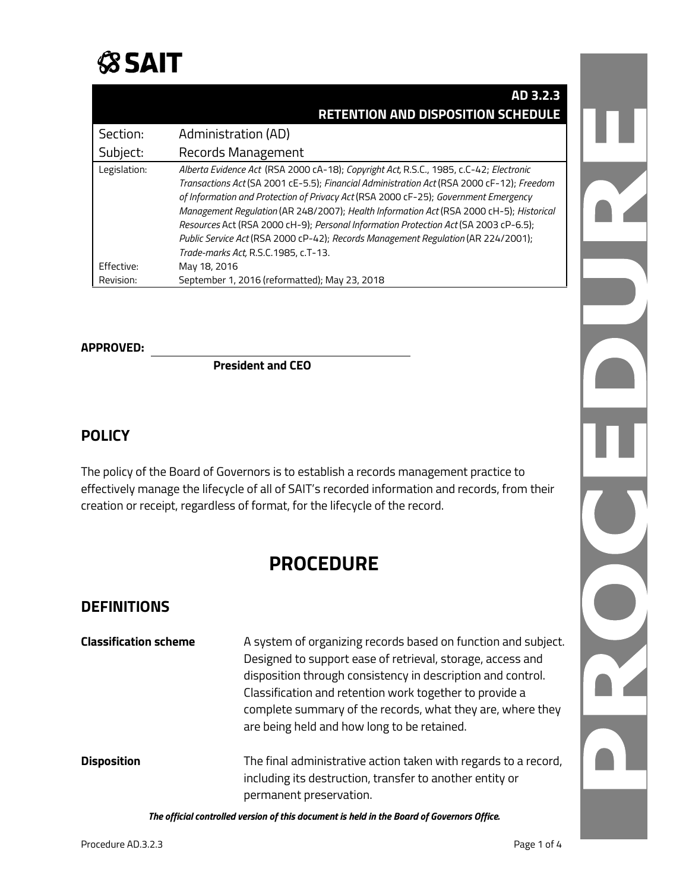

|              | AD 3.2.3                                                                                                                                                                                                                                                                                                                                                                                                                                                                                                                                                                                   |
|--------------|--------------------------------------------------------------------------------------------------------------------------------------------------------------------------------------------------------------------------------------------------------------------------------------------------------------------------------------------------------------------------------------------------------------------------------------------------------------------------------------------------------------------------------------------------------------------------------------------|
|              | <b>RETENTION AND DISPOSITION SCHEDULE</b>                                                                                                                                                                                                                                                                                                                                                                                                                                                                                                                                                  |
| Section:     | Administration (AD)                                                                                                                                                                                                                                                                                                                                                                                                                                                                                                                                                                        |
| Subject:     | Records Management                                                                                                                                                                                                                                                                                                                                                                                                                                                                                                                                                                         |
| Legislation: | Alberta Evidence Act (RSA 2000 cA-18); Copyright Act, R.S.C., 1985, c.C-42; Electronic<br>Transactions Act (SA 2001 cE-5.5); Financial Administration Act (RSA 2000 cF-12); Freedom<br>of Information and Protection of Privacy Act (RSA 2000 cF-25); Government Emergency<br>Management Regulation (AR 248/2007); Health Information Act (RSA 2000 cH-5); Historical<br>Resources Act (RSA 2000 cH-9); Personal Information Protection Act (SA 2003 cP-6.5);<br>Public Service Act (RSA 2000 cP-42); Records Management Regulation (AR 224/2001);<br>Trade-marks Act, R.S.C.1985, c.T-13. |
| Effective:   | May 18, 2016                                                                                                                                                                                                                                                                                                                                                                                                                                                                                                                                                                               |
| Revision:    | September 1, 2016 (reformatted); May 23, 2018                                                                                                                                                                                                                                                                                                                                                                                                                                                                                                                                              |

## **APPROVED:**

**President and CEO**

#### **POLICY**

The policy of the Board of Governors is to establish a records management practice to effectively manage the lifecycle of all of SAIT's recorded information and records, from their creation or receipt, regardless of format, for the lifecycle of the record.

## **PROCEDURE**

#### **DEFINITIONS**

|                              | <b>PROCEDURE</b>                                                                                                                                                                                                                                                                                                                                                   |  |
|------------------------------|--------------------------------------------------------------------------------------------------------------------------------------------------------------------------------------------------------------------------------------------------------------------------------------------------------------------------------------------------------------------|--|
| <b>DEFINITIONS</b>           |                                                                                                                                                                                                                                                                                                                                                                    |  |
| <b>Classification scheme</b> | A system of organizing records based on function and subject.<br>Designed to support ease of retrieval, storage, access and<br>disposition through consistency in description and control.<br>Classification and retention work together to provide a<br>complete summary of the records, what they are, where they<br>are being held and how long to be retained. |  |
| <b>Disposition</b>           | The final administrative action taken with regards to a record,<br>including its destruction, transfer to another entity or<br>permanent preservation.                                                                                                                                                                                                             |  |

*The official controlled version of this document is held in the Board of Governors Office.*

N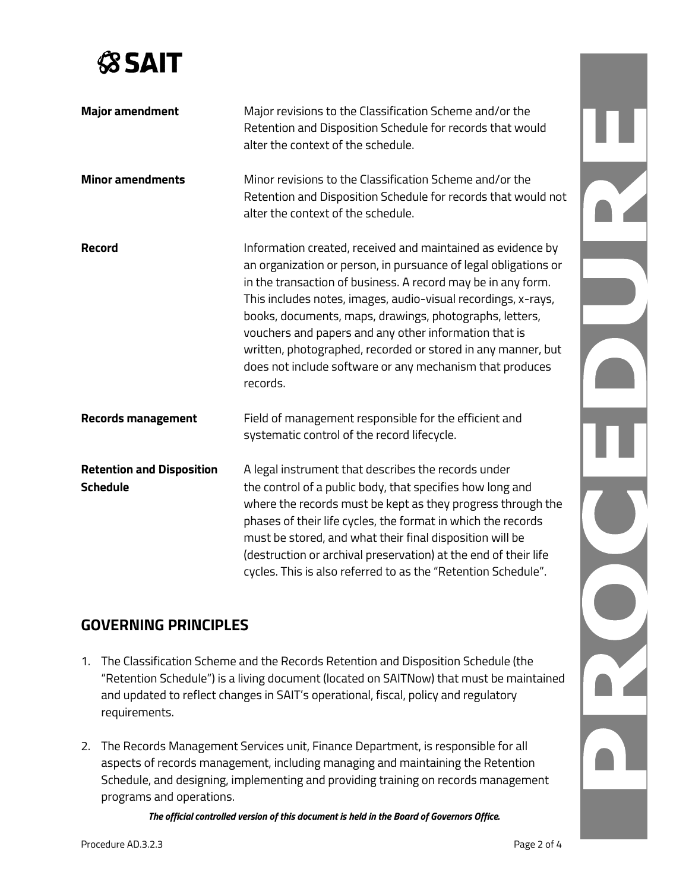

|        | <b>Major amendment</b>                              | Major revisions to the Classification Scheme and/or the<br>Retention and Disposition Schedule for records that would<br>alter the context of the schedule.                                                                                                                                                                                                                                                                                                                                                                  |  |
|--------|-----------------------------------------------------|-----------------------------------------------------------------------------------------------------------------------------------------------------------------------------------------------------------------------------------------------------------------------------------------------------------------------------------------------------------------------------------------------------------------------------------------------------------------------------------------------------------------------------|--|
|        | <b>Minor amendments</b>                             | Minor revisions to the Classification Scheme and/or the<br>Retention and Disposition Schedule for records that would not<br>alter the context of the schedule.                                                                                                                                                                                                                                                                                                                                                              |  |
| Record |                                                     | Information created, received and maintained as evidence by<br>an organization or person, in pursuance of legal obligations or<br>in the transaction of business. A record may be in any form.<br>This includes notes, images, audio-visual recordings, x-rays,<br>books, documents, maps, drawings, photographs, letters,<br>vouchers and papers and any other information that is<br>written, photographed, recorded or stored in any manner, but<br>does not include software or any mechanism that produces<br>records. |  |
|        | <b>Records management</b>                           | Field of management responsible for the efficient and<br>systematic control of the record lifecycle.                                                                                                                                                                                                                                                                                                                                                                                                                        |  |
|        | <b>Retention and Disposition</b><br><b>Schedule</b> | A legal instrument that describes the records under<br>the control of a public body, that specifies how long and<br>where the records must be kept as they progress through the<br>phases of their life cycles, the format in which the records<br>must be stored, and what their final disposition will be<br>(destruction or archival preservation) at the end of their life<br>cycles. This is also referred to as the "Retention Schedule".                                                                             |  |
|        | <b>GOVERNING PRINCIPLES</b>                         |                                                                                                                                                                                                                                                                                                                                                                                                                                                                                                                             |  |
| 1.     | requirements.                                       | The Classification Scheme and the Records Retention and Disposition Schedule (the<br>"Retention Schedule") is a living document (located on SAITNow) that must be maintained<br>and updated to reflect changes in SAIT's operational, fiscal, policy and regulatory                                                                                                                                                                                                                                                         |  |

## **GOVERNING PRINCIPLES**

- 1. The Classification Scheme and the Records Retention and Disposition Schedule (the "Retention Schedule") is a living document (located on SAITNow) that must be maintained and updated to reflect changes in SAIT's operational, fiscal, policy and regulatory requirements.
- 2. The Records Management Services unit, Finance Department, is responsible for all aspects of records management, including managing and maintaining the Retention Schedule, and designing, implementing and providing training on records management programs and operations.

*The official controlled version of this document is held in the Board of Governors Office.*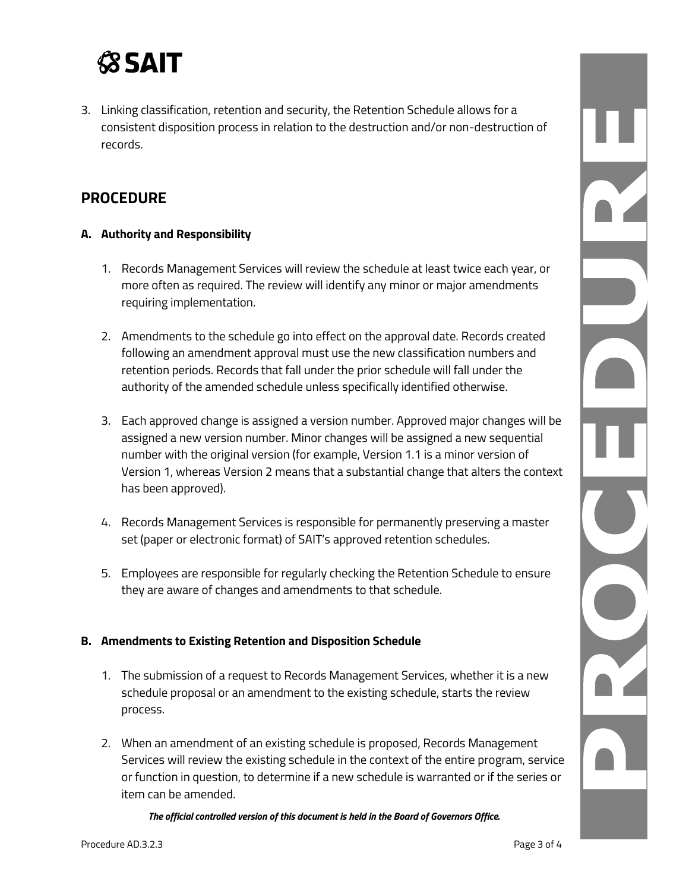# **SSAIT**

3. Linking classification, retention and security, the Retention Schedule allows for a consistent disposition process in relation to the destruction and/or non-destruction of records.

## **PROCEDURE**

#### **A. Authority and Responsibility**

- 1. Records Management Services will review the schedule at least twice each year, or more often as required. The review will identify any minor or major amendments requiring implementation.
- 2. Amendments to the schedule go into effect on the approval date. Records created following an amendment approval must use the new classification numbers and retention periods. Records that fall under the prior schedule will fall under the authority of the amended schedule unless specifically identified otherwise.
- 3. Each approved change is assigned a version number. Approved major changes will be assigned a new version number. Minor changes will be assigned a new sequential number with the original version (for example, Version 1.1 is a minor version of Version 1, whereas Version 2 means that a substantial change that alters the context has been approved).
- 4. Records Management Services is responsible for permanently preserving a master set (paper or electronic format) of SAIT's approved retention schedules.
- 5. Employees are responsible for regularly checking the Retention Schedule to ensure they are aware of changes and amendments to that schedule.

#### **B. Amendments to Existing Retention and Disposition Schedule**

- 1. The submission of a request to Records Management Services, whether it is a new schedule proposal or an amendment to the existing schedule, starts the review process.
- 2. When an amendment of an existing schedule is proposed, Records Management Services will review the existing schedule in the context of the entire program, service or function in question, to determine if a new schedule is warranted or if the series or item can be amended.

*The official controlled version of this document is held in the Board of Governors Office.*